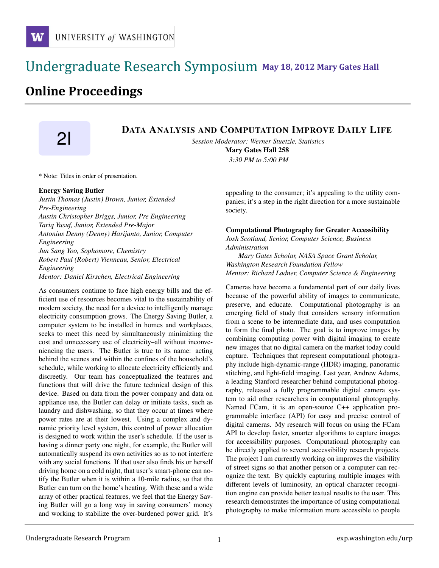### !!!!!!!!!!!!!!!!!!!!!!!!!!!!!!!!!!!!!!!!!!!!!!!!!!!!!!!!!!!!!!!!!!!!!!!!!!!!!!!!!!!!!!!!!!!!!!!!! **111 May 18, 2012 Mary Gates Hall** !!!!!!!!!!!!!!!!!!!!!!!!!!!!!!!!!!!!!!!!!!!!!!!!!!!!!!!!!!!!!!!!!!!!!!!!!!!!!!!!!!

## **Online Proceedings**

# **21** DATA ANALYSIS AND COMPUTATION IMPROVE DAILY LIFE

*Session Moderator: Werner Stuetzle, Statistics*

Mary Gates Hall 258 *3:30 PM to 5:00 PM*

\* Note: Titles in order of presentation.

#### Energy Saving Butler

*Justin Thomas (Justin) Brown, Junior, Extended Pre-Engineering Austin Christopher Briggs, Junior, Pre Engineering Tariq Yusuf, Junior, Extended Pre-Major Antonius Denny (Denny) Harijanto, Junior, Computer Engineering Jun Sang Yoo, Sophomore, Chemistry Robert Paul (Robert) Vienneau, Senior, Electrical Engineering Mentor: Daniel Kirschen, Electrical Engineering*

As consumers continue to face high energy bills and the efficient use of resources becomes vital to the sustainability of modern society, the need for a device to intelligently manage electricity consumption grows. The Energy Saving Butler, a computer system to be installed in homes and workplaces, seeks to meet this need by simultaneously minimizing the cost and unnecessary use of electricity–all without inconveniencing the users. The Butler is true to its name: acting behind the scenes and within the confines of the household's schedule, while working to allocate electricity efficiently and discreetly. Our team has conceptualized the features and functions that will drive the future technical design of this device. Based on data from the power company and data on appliance use, the Butler can delay or initiate tasks, such as laundry and dishwashing, so that they occur at times where power rates are at their lowest. Using a complex and dynamic priority level system, this control of power allocation is designed to work within the user's schedule. If the user is having a dinner party one night, for example, the Butler will automatically suspend its own activities so as to not interfere with any social functions. If that user also finds his or herself driving home on a cold night, that user's smart-phone can notify the Butler when it is within a 10-mile radius, so that the Butler can turn on the home's heating. With these and a wide array of other practical features, we feel that the Energy Saving Butler will go a long way in saving consumers' money and working to stabilize the over-burdened power grid. It's appealing to the consumer; it's appealing to the utility companies; it's a step in the right direction for a more sustainable society.

#### Computational Photography for Greater Accessibility

*Josh Scotland, Senior, Computer Science, Business Administration*

*Mary Gates Scholar, NASA Space Grant Scholar, Washington Research Foundation Fellow Mentor: Richard Ladner, Computer Science & Engineering*

Cameras have become a fundamental part of our daily lives because of the powerful ability of images to communicate, preserve, and educate. Computational photography is an emerging field of study that considers sensory information from a scene to be intermediate data, and uses computation to form the final photo. The goal is to improve images by combining computing power with digital imaging to create new images that no digital camera on the market today could capture. Techniques that represent computational photography include high-dynamic-range (HDR) imaging, panoramic stitching, and light-field imaging. Last year, Andrew Adams, a leading Stanford researcher behind computational photography, released a fully programmable digital camera system to aid other researchers in computational photography. Named FCam, it is an open-source C++ application programmable interface (API) for easy and precise control of digital cameras. My research will focus on using the FCam API to develop faster, smarter algorithms to capture images for accessibility purposes. Computational photography can be directly applied to several accessibility research projects. The project I am currently working on improves the visibility of street signs so that another person or a computer can recognize the text. By quickly capturing multiple images with different levels of luminosity, an optical character recognition engine can provide better textual results to the user. This research demonstrates the importance of using computational photography to make information more accessible to people